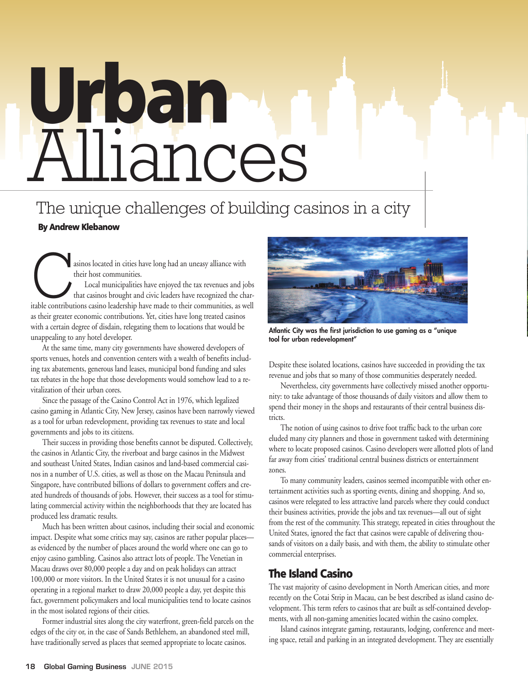## **Urban** Alliances

### The unique challenges of building casinos in a city

#### **By Andrew Klebanow**

asinos located in cities have long had an uneasy alliance with their host communities. Local municipalities have enjoyed the tax revenues and jobs that casinos brought and civic leaders have recognized the charitable contributions casino leadership have made to their communities, as well as their greater economic contributions. Yet, cities have long treated casinos with a certain degree of disdain, relegating them to locations that would be

unappealing to any hotel developer. At the same time, many city governments have showered developers of sports venues, hotels and convention centers with a wealth of benefits including tax abatements, generous land leases, municipal bond funding and sales tax rebates in the hope that those developments would somehow lead to a revitalization of their urban cores.

Since the passage of the Casino Control Act in 1976, which legalized casino gaming in Atlantic City, New Jersey, casinos have been narrowly viewed as a tool for urban redevelopment, providing tax revenues to state and local governments and jobs to its citizens.

Their success in providing those benefits cannot be disputed. Collectively, the casinos in Atlantic City, the riverboat and barge casinos in the Midwest and southeast United States, Indian casinos and land-based commercial casinos in a number of U.S. cities, as well as those on the Macau Peninsula and Singapore, have contributed billions of dollars to government coffers and created hundreds of thousands of jobs. However, their success as a tool for stimulating commercial activity within the neighborhoods that they are located has produced less dramatic results.

Much has been written about casinos, including their social and economic impact. Despite what some critics may say, casinos are rather popular places as evidenced by the number of places around the world where one can go to enjoy casino gambling. Casinos also attract lots of people. The Venetian in Macau draws over 80,000 people a day and on peak holidays can attract 100,000 or more visitors. In the United States it is not unusual for a casino operating in a regional market to draw 20,000 people a day, yet despite this fact, government policymakers and local municipalities tend to locate casinos in the most isolated regions of their cities.

Former industrial sites along the city waterfront, green-field parcels on the edges of the city or, in the case of Sands Bethlehem, an abandoned steel mill, have traditionally served as places that seemed appropriate to locate casinos.



**Atlantic City was the first jurisdiction to use gaming as a "unique tool for urban redevelopment"**

Despite these isolated locations, casinos have succeeded in providing the tax revenue and jobs that so many of those communities desperately needed.

Nevertheless, city governments have collectively missed another opportunity: to take advantage of those thousands of daily visitors and allow them to spend their money in the shops and restaurants of their central business districts.

The notion of using casinos to drive foot traffic back to the urban core eluded many city planners and those in government tasked with determining where to locate proposed casinos. Casino developers were allotted plots of land far away from cities' traditional central business districts or entertainment zones.

To many community leaders, casinos seemed incompatible with other entertainment activities such as sporting events, dining and shopping. And so, casinos were relegated to less attractive land parcels where they could conduct their business activities, provide the jobs and tax revenues—all out of sight from the rest of the community. This strategy, repeated in cities throughout the United States, ignored the fact that casinos were capable of delivering thousands of visitors on a daily basis, and with them, the ability to stimulate other commercial enterprises.

#### **The Island Casino**

The vast majority of casino development in North American cities, and more recently on the Cotai Strip in Macau, can be best described as island casino development. This term refers to casinos that are built as self-contained developments, with all non-gaming amenities located within the casino complex.

Island casinos integrate gaming, restaurants, lodging, conference and meeting space, retail and parking in an integrated development. They are essentially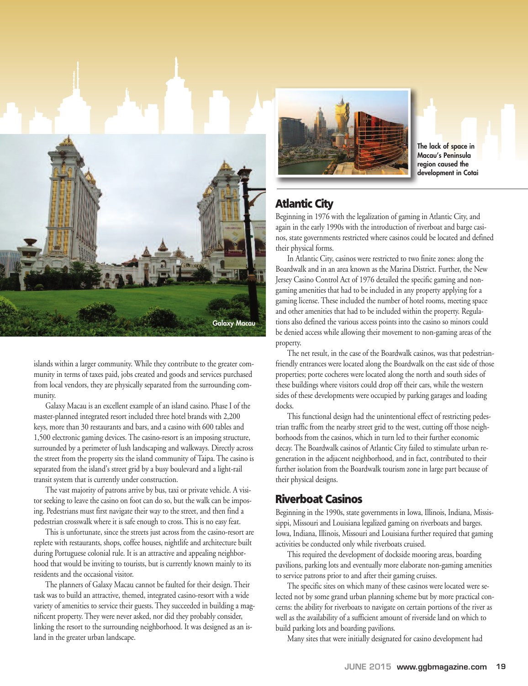

islands within a larger community. While they contribute to the greater community in terms of taxes paid, jobs created and goods and services purchased from local vendors, they are physically separated from the surrounding community.

Galaxy Macau is an excellent example of an island casino. Phase I of the master-planned integrated resort included three hotel brands with 2,200 keys, more than 30 restaurants and bars, and a casino with 600 tables and 1,500 electronic gaming devices. The casino-resort is an imposing structure, surrounded by a perimeter of lush landscaping and walkways. Directly across the street from the property sits the island community of Taipa. The casino is separated from the island's street grid by a busy boulevard and a light-rail transit system that is currently under construction.

The vast majority of patrons arrive by bus, taxi or private vehicle. A visitor seeking to leave the casino on foot can do so, but the walk can be imposing. Pedestrians must first navigate their way to the street, and then find a pedestrian crosswalk where it is safe enough to cross. This is no easy feat.

This is unfortunate, since the streets just across from the casino-resort are replete with restaurants, shops, coffee houses, nightlife and architecture built during Portuguese colonial rule. It is an attractive and appealing neighborhood that would be inviting to tourists, but is currently known mainly to its residents and the occasional visitor.

The planners of Galaxy Macau cannot be faulted for their design. Their task was to build an attractive, themed, integrated casino-resort with a wide variety of amenities to service their guests. They succeeded in building a magnificent property. They were never asked, nor did they probably consider, linking the resort to the surrounding neighborhood. It was designed as an island in the greater urban landscape.



**The lack of space in Macau's Peninsula region caused the development in Cotai**

#### **Atlantic City**

Beginning in 1976 with the legalization of gaming in Atlantic City, and again in the early 1990s with the introduction of riverboat and barge casinos, state governments restricted where casinos could be located and defined their physical forms.

In Atlantic City, casinos were restricted to two finite zones: along the Boardwalk and in an area known as the Marina District. Further, the New Jersey Casino Control Act of 1976 detailed the specific gaming and nongaming amenities that had to be included in any property applying for a gaming license. These included the number of hotel rooms, meeting space and other amenities that had to be included within the property. Regulations also defined the various access points into the casino so minors could be denied access while allowing their movement to non-gaming areas of the property.

The net result, in the case of the Boardwalk casinos, was that pedestrianfriendly entrances were located along the Boardwalk on the east side of those properties; porte cocheres were located along the north and south sides of these buildings where visitors could drop off their cars, while the western sides of these developments were occupied by parking garages and loading docks.

This functional design had the unintentional effect of restricting pedestrian traffic from the nearby street grid to the west, cutting off those neighborhoods from the casinos, which in turn led to their further economic decay. The Boardwalk casinos of Atlantic City failed to stimulate urban regeneration in the adjacent neighborhood, and in fact, contributed to their further isolation from the Boardwalk tourism zone in large part because of their physical designs.

#### **Riverboat Casinos**

Beginning in the 1990s, state governments in Iowa, Illinois, Indiana, Mississippi, Missouri and Louisiana legalized gaming on riverboats and barges. Iowa, Indiana, Illinois, Missouri and Louisiana further required that gaming activities be conducted only while riverboats cruised.

This required the development of dockside mooring areas, boarding pavilions, parking lots and eventually more elaborate non-gaming amenities to service patrons prior to and after their gaming cruises.

The specific sites on which many of these casinos were located were selected not by some grand urban planning scheme but by more practical concerns: the ability for riverboats to navigate on certain portions of the river as well as the availability of a sufficient amount of riverside land on which to build parking lots and boarding pavilions.

Many sites that were initially designated for casino development had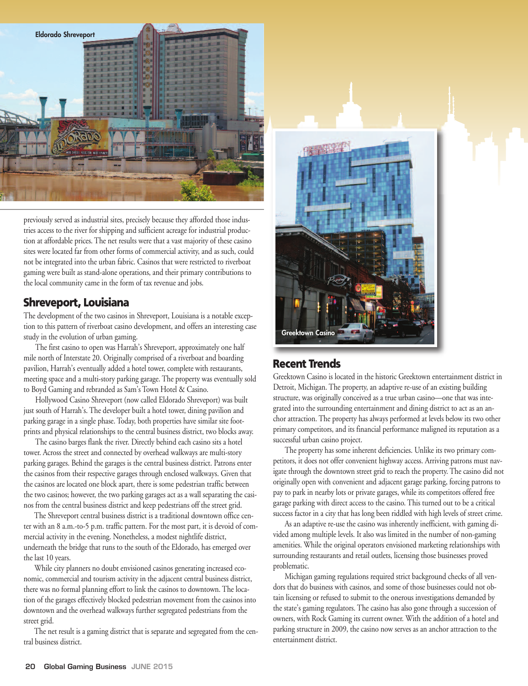

previously served as industrial sites, precisely because they afforded those industries access to the river for shipping and sufficient acreage for industrial production at affordable prices. The net results were that a vast majority of these casino sites were located far from other forms of commercial activity, and as such, could not be integrated into the urban fabric. Casinos that were restricted to riverboat gaming were built as stand-alone operations, and their primary contributions to the local community came in the form of tax revenue and jobs.

#### **Shreveport, Louisiana**

The development of the two casinos in Shreveport, Louisiana is a notable exception to this pattern of riverboat casino development, and offers an interesting case study in the evolution of urban gaming.

The first casino to open was Harrah's Shreveport, approximately one half mile north of Interstate 20. Originally comprised of a riverboat and boarding pavilion, Harrah's eventually added a hotel tower, complete with restaurants, meeting space and a multi-story parking garage. The property was eventually sold to Boyd Gaming and rebranded as Sam's Town Hotel & Casino.

Hollywood Casino Shreveport (now called Eldorado Shreveport) was built just south of Harrah's. The developer built a hotel tower, dining pavilion and parking garage in a single phase. Today, both properties have similar site footprints and physical relationships to the central business district, two blocks away.

The casino barges flank the river. Directly behind each casino sits a hotel tower. Across the street and connected by overhead walkways are multi-story parking garages. Behind the garages is the central business district. Patrons enter the casinos from their respective garages through enclosed walkways. Given that the casinos are located one block apart, there is some pedestrian traffic between the two casinos; however, the two parking garages act as a wall separating the casinos from the central business district and keep pedestrians off the street grid.

The Shreveport central business district is a traditional downtown office center with an 8 a.m.-to-5 p.m. traffic pattern. For the most part, it is devoid of commercial activity in the evening. Nonetheless, a modest nightlife district, underneath the bridge that runs to the south of the Eldorado, has emerged over the last 10 years.

While city planners no doubt envisioned casinos generating increased economic, commercial and tourism activity in the adjacent central business district, there was no formal planning effort to link the casinos to downtown. The location of the garages effectively blocked pedestrian movement from the casinos into downtown and the overhead walkways further segregated pedestrians from the street grid.

The net result is a gaming district that is separate and segregated from the central business district.



#### **Recent Trends**

Greektown Casino is located in the historic Greektown entertainment district in Detroit, Michigan. The property, an adaptive re-use of an existing building structure, was originally conceived as a true urban casino—one that was integrated into the surrounding entertainment and dining district to act as an anchor attraction. The property has always performed at levels below its two other primary competitors, and its financial performance maligned its reputation as a successful urban casino project.

The property has some inherent deficiencies. Unlike its two primary competitors, it does not offer convenient highway access. Arriving patrons must navigate through the downtown street grid to reach the property. The casino did not originally open with convenient and adjacent garage parking, forcing patrons to pay to park in nearby lots or private garages, while its competitors offered free garage parking with direct access to the casino. This turned out to be a critical success factor in a city that has long been riddled with high levels of street crime.

As an adaptive re-use the casino was inherently inefficient, with gaming divided among multiple levels. It also was limited in the number of non-gaming amenities. While the original operators envisioned marketing relationships with surrounding restaurants and retail outlets, licensing those businesses proved problematic.

Michigan gaming regulations required strict background checks of all vendors that do business with casinos, and some of those businesses could not obtain licensing or refused to submit to the onerous investigations demanded by the state's gaming regulators. The casino has also gone through a succession of owners, with Rock Gaming its current owner. With the addition of a hotel and parking structure in 2009, the casino now serves as an anchor attraction to the entertainment district.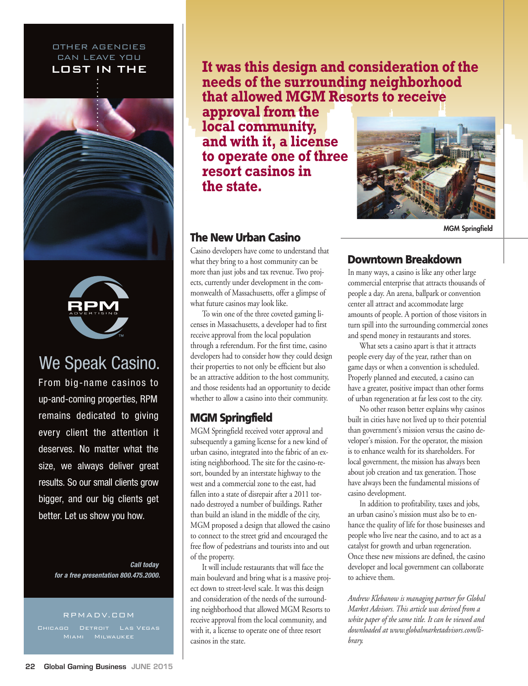#### OTHER AGENCIES CAN LEAVE YOU LOST IN THE





### We Speak Casino.

From big-name casinos to up-and-coming properties, RPM remains dedicated to giving every client the attention it deserves. No matter what the size, we always deliver great results. So our small clients grow bigger, and our big clients get better. Let us show you how.

> **Call today for a free presentation 800.475.2000.**

#### RPMADV.COM

**It was this design and consideration of the needs of the surrounding neighborhood that allowed MGM Resorts to receive**

**approval from the local community, and with it, a license to operate one of three resort casinos in the state.**

#### **The New Urban Casino**

Casino developers have come to understand that what they bring to a host community can be more than just jobs and tax revenue. Two projects, currently under development in the commonwealth of Massachusetts, offer a glimpse of what future casinos may look like.

To win one of the three coveted gaming licenses in Massachusetts, a developer had to first receive approval from the local population through a referendum. For the first time, casino developers had to consider how they could design their properties to not only be efficient but also be an attractive addition to the host community, and those residents had an opportunity to decide whether to allow a casino into their community.

#### **MGM Springfield**

MGM Springfield received voter approval and subsequently a gaming license for a new kind of urban casino, integrated into the fabric of an existing neighborhood. The site for the casino-resort, bounded by an interstate highway to the west and a commercial zone to the east, had fallen into a state of disrepair after a 2011 tornado destroyed a number of buildings. Rather than build an island in the middle of the city, MGM proposed a design that allowed the casino to connect to the street grid and encouraged the free flow of pedestrians and tourists into and out of the property.

It will include restaurants that will face the main boulevard and bring what is a massive project down to street-level scale. It was this design and consideration of the needs of the surrounding neighborhood that allowed MGM Resorts to receive approval from the local community, and with it, a license to operate one of three resort casinos in the state.



**MGM Springfield**

#### **Downtown Breakdown**

In many ways, a casino is like any other large commercial enterprise that attracts thousands of people a day. An arena, ballpark or convention center all attract and accommodate large amounts of people. A portion of those visitors in turn spill into the surrounding commercial zones and spend money in restaurants and stores.

What sets a casino apart is that it attracts people every day of the year, rather than on game days or when a convention is scheduled. Properly planned and executed, a casino can have a greater, positive impact than other forms of urban regeneration at far less cost to the city.

No other reason better explains why casinos built in cities have not lived up to their potential than government's mission versus the casino developer's mission. For the operator, the mission is to enhance wealth for its shareholders. For local government, the mission has always been about job creation and tax generation. Those have always been the fundamental missions of casino development.

In addition to profitability, taxes and jobs, an urban casino's mission must also be to enhance the quality of life for those businesses and people who live near the casino, and to act as a catalyst for growth and urban regeneration. Once these new missions are defined, the casino developer and local government can collaborate to achieve them.

*Andrew Klebanow is managing partner for Global Market Advisors. This article was derived from a white paper of the same title. It can be viewed and downloaded at www.globalmarketadvisors.com/library.*